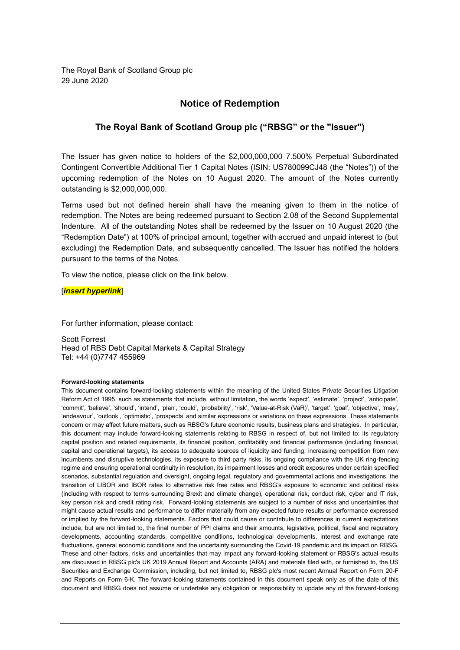The Royal Bank of Scotland Group plc 29 June 2020

## **Notice of Redemption**

## **The Royal Bank of Scotland Group plc ("RBSG" or the "Issuer")**

The Issuer has given notice to holders of the \$2,000,000,000 7.500% Perpetual Subordinated Contingent Convertible Additional Tier 1 Capital Notes (ISIN: US780099CJ48 (the "Notes")) of the upcoming redemption of the Notes on 10 August 2020. The amount of the Notes currently outstanding is \$2,000,000,000.

Terms used but not defined herein shall have the meaning given to them in the notice of redemption. The Notes are being redeemed pursuant to Section 2.08 of the Second Supplemental Indenture. All of the outstanding Notes shall be redeemed by the Issuer on 10 August 2020 (the "Redemption Date") at 100% of principal amount, together with accrued and unpaid interest to (but excluding) the Redemption Date, and subsequently cancelled. The Issuer has notified the holders pursuant to the terms of the Notes.

To view the notice, please click on the link below.

[*insert hyperlink*]

For further information, please contact:

Scott Forrest Head of RBS Debt Capital Markets & Capital Strategy Tel: +44 (0)7747 455969

## **Forward-looking statements**

This document contains forward-looking statements within the meaning of the United States Private Securities Litigation Reform Act of 1995, such as statements that include, without limitation, the words 'expect', 'estimate', 'project', 'anticipate', 'commit', 'believe', 'should', 'intend', 'plan', 'could', 'probability', 'risk', 'Value-at-Risk (VaR)', 'target', 'goal', 'objective', 'may', 'endeavour', 'outlook', 'optimistic', 'prospects' and similar expressions or variations on these expressions. These statements concern or may affect future matters, such as RBSG's future economic results, business plans and strategies. In particular, this document may include forward-looking statements relating to RBSG in respect of, but not limited to: its regulatory capital position and related requirements, its financial position, profitability and financial performance (including financial, capital and operational targets), its access to adequate sources of liquidity and funding, increasing competition from new incumbents and disruptive technologies, its exposure to third party risks, its ongoing compliance with the UK ring-fencing regime and ensuring operational continuity in resolution, its impairment losses and credit exposures under certain specified scenarios, substantial regulation and oversight, ongoing legal, regulatory and governmental actions and investigations, the transition of LIBOR and IBOR rates to alternative risk free rates and RBSG's exposure to economic and political risks (including with respect to terms surrounding Brexit and climate change), operational risk, conduct risk, cyber and IT risk, key person risk and credit rating risk. Forward-looking statements are subject to a number of risks and uncertainties that might cause actual results and performance to differ materially from any expected future results or performance expressed or implied by the forward-looking statements. Factors that could cause or contribute to differences in current expectations include, but are not limited to, the final number of PPI claims and their amounts, legislative, political, fiscal and regulatory developments, accounting standards, competitive conditions, technological developments, interest and exchange rate fluctuations, general economic conditions and the uncertainty surrounding the Covid-19 pandemic and its impact on RBSG. These and other factors, risks and uncertainties that may impact any forward-looking statement or RBSG's actual results are discussed in RBSG plc's UK 2019 Annual Report and Accounts (ARA) and materials filed with, or furnished to, the US Securities and Exchange Commission, including, but not limited to, RBSG plc's most recent Annual Report on Form 20-F and Reports on Form 6-K. The forward-looking statements contained in this document speak only as of the date of this document and RBSG does not assume or undertake any obligation or responsibility to update any of the forward-looking